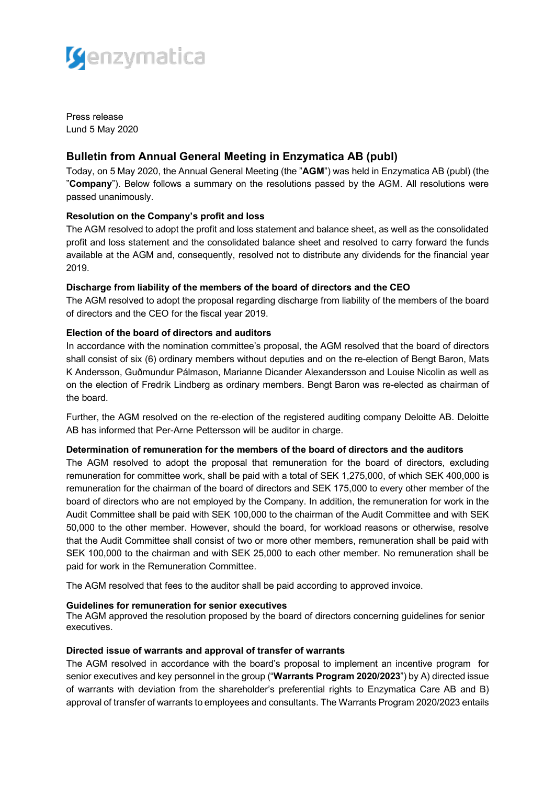

Press release Lund 5 May 2020

# **Bulletin from Annual General Meeting in Enzymatica AB (publ)**

Today, on 5 May 2020, the Annual General Meeting (the "**AGM**") was held in Enzymatica AB (publ) (the "**Company**"). Below follows a summary on the resolutions passed by the AGM. All resolutions were passed unanimously.

# **Resolution on the Company's profit and loss**

The AGM resolved to adopt the profit and loss statement and balance sheet, as well as the consolidated profit and loss statement and the consolidated balance sheet and resolved to carry forward the funds available at the AGM and, consequently, resolved not to distribute any dividends for the financial year 2019.

# **Discharge from liability of the members of the board of directors and the CEO**

The AGM resolved to adopt the proposal regarding discharge from liability of the members of the board of directors and the CEO for the fiscal year 2019.

# **Election of the board of directors and auditors**

In accordance with the nomination committee's proposal, the AGM resolved that the board of directors shall consist of six (6) ordinary members without deputies and on the re-election of Bengt Baron, Mats K Andersson, Guðmundur Pálmason, Marianne Dicander Alexandersson and Louise Nicolin as well as on the election of Fredrik Lindberg as ordinary members. Bengt Baron was re-elected as chairman of the board.

Further, the AGM resolved on the re-election of the registered auditing company Deloitte AB. Deloitte AB has informed that Per-Arne Pettersson will be auditor in charge.

## **Determination of remuneration for the members of the board of directors and the auditors**

The AGM resolved to adopt the proposal that remuneration for the board of directors, excluding remuneration for committee work, shall be paid with a total of SEK 1,275,000, of which SEK 400,000 is remuneration for the chairman of the board of directors and SEK 175,000 to every other member of the board of directors who are not employed by the Company. In addition, the remuneration for work in the Audit Committee shall be paid with SEK 100,000 to the chairman of the Audit Committee and with SEK 50,000 to the other member. However, should the board, for workload reasons or otherwise, resolve that the Audit Committee shall consist of two or more other members, remuneration shall be paid with SEK 100,000 to the chairman and with SEK 25,000 to each other member. No remuneration shall be paid for work in the Remuneration Committee.

The AGM resolved that fees to the auditor shall be paid according to approved invoice.

## **Guidelines for remuneration for senior executives**

The AGM approved the resolution proposed by the board of directors concerning guidelines for senior executives.

## **Directed issue of warrants and approval of transfer of warrants**

The AGM resolved in accordance with the board's proposal to implement an incentive program for senior executives and key personnel in the group ("**Warrants Program 2020/2023**") by A) directed issue of warrants with deviation from the shareholder's preferential rights to Enzymatica Care AB and B) approval of transfer of warrants to employees and consultants. The Warrants Program 2020/2023 entails